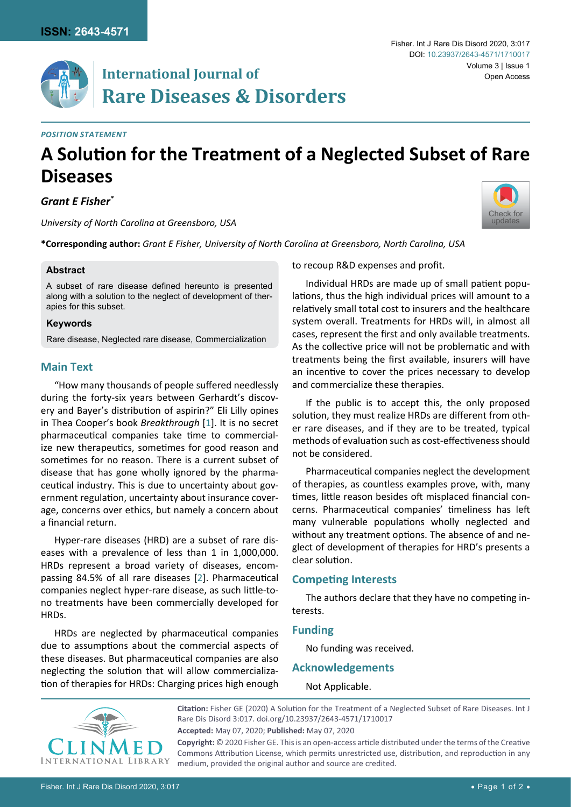# **International Journal of Rare Diseases & Disorders**

#### *Position Statement*

# **A Solution for the Treatment of a Neglected Subset of Rare Diseases**

*Grant E Fisher\**

*University of North Carolina at Greensboro, USA*

**\*Corresponding author:** *Grant E Fisher, University of North Carolina at Greensboro, North Carolina, USA*

#### **Abstract**

A subset of rare disease defined hereunto is presented along with a solution to the neglect of development of therapies for this subset.

#### **Keywords**

Rare disease, Neglected rare disease, Commercialization

### **Main Text**

"How many thousands of people suffered needlessly during the forty-six years between Gerhardt's discovery and Bayer's distribution of aspirin?" Eli Lilly opines in Thea Cooper's book *Breakthrough* [[1](#page-1-0)]. It is no secret pharmaceutical companies take time to commercialize new therapeutics, sometimes for good reason and sometimes for no reason. There is a current subset of disease that has gone wholly ignored by the pharmaceutical industry. This is due to uncertainty about government regulation, uncertainty about insurance coverage, concerns over ethics, but namely a concern about a financial return.

Hyper-rare diseases (HRD) are a subset of rare diseases with a prevalence of less than 1 in 1,000,000. HRDs represent a broad variety of diseases, encompassing 84.5% of all rare diseases [[2](#page-1-1)]. Pharmaceutical companies neglect hyper-rare disease, as such little-tono treatments have been commercially developed for HRDs.

HRDs are neglected by pharmaceutical companies due to assumptions about the commercial aspects of these diseases. But pharmaceutical companies are also neglecting the solution that will allow commercialization of therapies for HRDs: Charging prices high enough to recoup R&D expenses and profit.

Individual HRDs are made up of small patient populations, thus the high individual prices will amount to a relatively small total cost to insurers and the healthcare system overall. Treatments for HRDs will, in almost all cases, represent the first and only available treatments. As the collective price will not be problematic and with treatments being the first available, insurers will have an incentive to cover the prices necessary to develop and commercialize these therapies.

If the public is to accept this, the only proposed solution, they must realize HRDs are different from other rare diseases, and if they are to be treated, typical methods of evaluation such as cost-effectiveness should not be considered.

Pharmaceutical companies neglect the development of therapies, as countless examples prove, with, many times, little reason besides oft misplaced financial concerns. Pharmaceutical companies' timeliness has left many vulnerable populations wholly neglected and without any treatment options. The absence of and neglect of development of therapies for HRD's presents a clear solution.

### **Competing Interests**

The authors declare that they have no competing interests.

#### **Funding**

No funding was received.

**Acknowledgements**

Not Applicable.

**Citation:** Fisher GE (2020) A Solution for the Treatment of a Neglected Subset of Rare Diseases. Int J Rare Dis Disord 3:017. [doi.org/10.23937/2643-4571/1710017](https://doi.org/10.23937/2643-4571/1710017)

**Accepted:** May 07, 2020; **Published:** May 07, 2020

**Copyright:** © 2020 Fisher GE. This is an open-access article distributed under the terms of the Creative Commons Attribution License, which permits unrestricted use, distribution, and reproduction in any medium, provided the original author and source are credited.